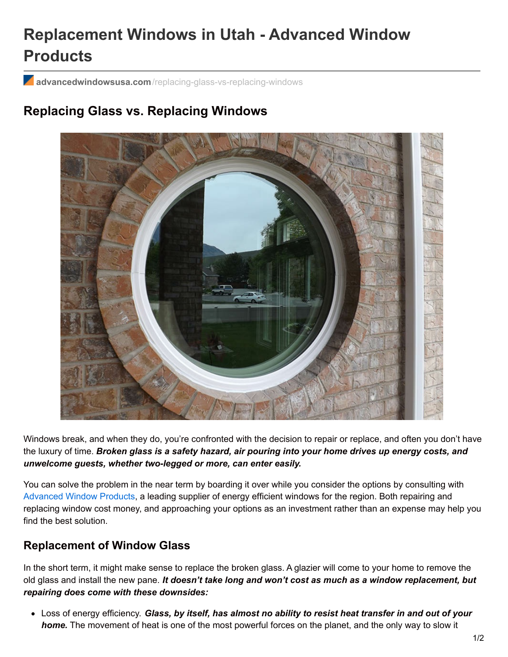# **Replacement Windows in Utah - Advanced Window Products**

**advancedwindowsusa.com**[/replacing-glass-vs-replacing-windows](https://advancedwindowsusa.com/replacing-glass-vs-replacing-windows)

# **Replacing Glass vs. Replacing Windows**



Windows break, and when they do, you're confronted with the decision to repair or replace, and often you don't have the luxury of time. *Broken glass is a safety hazard, air pouring into your home drives up energy costs, and unwelcome guests, whether two-legged or more, can enter easily.*

You can solve the problem in the near term by boarding it over while you consider the options by consulting with [Advanced](https://advancedwindowsusa.com/) Window Products, a leading supplier of energy efficient windows for the region. Both repairing and replacing window cost money, and approaching your options as an investment rather than an expense may help you find the best solution.

#### **Replacement of Window Glass**

In the short term, it might make sense to replace the broken glass. A glazier will come to your home to remove the old glass and install the new pane. *It doesn't take long and won't cost as much as a window replacement, but repairing does come with these downsides:*

Loss of energy efficiency. *Glass, by itself, has almost no ability to resist heat transfer in and out of your home.* The movement of heat is one of the most powerful forces on the planet, and the only way to slow it